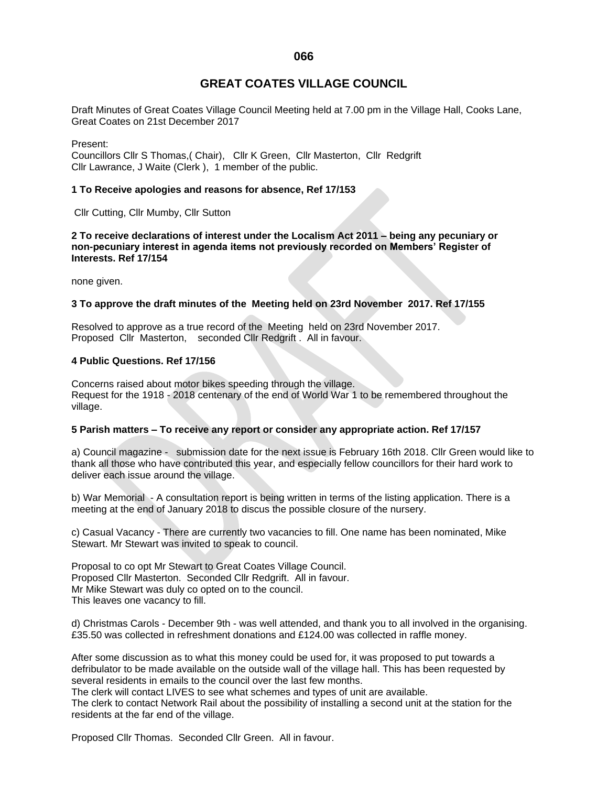**066**

# **GREAT COATES VILLAGE COUNCIL**

Draft Minutes of Great Coates Village Council Meeting held at 7.00 pm in the Village Hall, Cooks Lane, Great Coates on 21st December 2017

Present:

Councillors Cllr S Thomas,( Chair), Cllr K Green, Cllr Masterton, Cllr Redgrift Cllr Lawrance, J Waite (Clerk ), 1 member of the public.

### **1 To Receive apologies and reasons for absence, Ref 17/153**

Cllr Cutting, Cllr Mumby, Cllr Sutton

**2 To receive declarations of interest under the Localism Act 2011 – being any pecuniary or non-pecuniary interest in agenda items not previously recorded on Members' Register of Interests. Ref 17/154**

none given.

### **3 To approve the draft minutes of the Meeting held on 23rd November 2017. Ref 17/155**

Resolved to approve as a true record of the Meeting held on 23rd November 2017. Proposed Cllr Masterton, seconded Cllr Redgrift . All in favour.

## **4 Public Questions. Ref 17/156**

Concerns raised about motor bikes speeding through the village. Request for the 1918 - 2018 centenary of the end of World War 1 to be remembered throughout the village.

#### **5 Parish matters – To receive any report or consider any appropriate action. Ref 17/157**

a) Council magazine - submission date for the next issue is February 16th 2018. Cllr Green would like to thank all those who have contributed this year, and especially fellow councillors for their hard work to deliver each issue around the village.

b) War Memorial - A consultation report is being written in terms of the listing application. There is a meeting at the end of January 2018 to discus the possible closure of the nursery.

c) Casual Vacancy - There are currently two vacancies to fill. One name has been nominated, Mike Stewart. Mr Stewart was invited to speak to council.

Proposal to co opt Mr Stewart to Great Coates Village Council. Proposed Cllr Masterton. Seconded Cllr Redgrift. All in favour. Mr Mike Stewart was duly co opted on to the council. This leaves one vacancy to fill.

d) Christmas Carols - December 9th - was well attended, and thank you to all involved in the organising. £35.50 was collected in refreshment donations and £124.00 was collected in raffle money.

After some discussion as to what this money could be used for, it was proposed to put towards a defribulator to be made available on the outside wall of the village hall. This has been requested by several residents in emails to the council over the last few months.

The clerk will contact LIVES to see what schemes and types of unit are available.

The clerk to contact Network Rail about the possibility of installing a second unit at the station for the residents at the far end of the village.

Proposed Cllr Thomas. Seconded Cllr Green. All in favour.